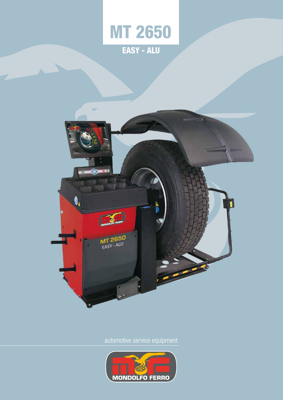

 $0.0$ 0, DIE MT 2650 Ø

automotive service equipment

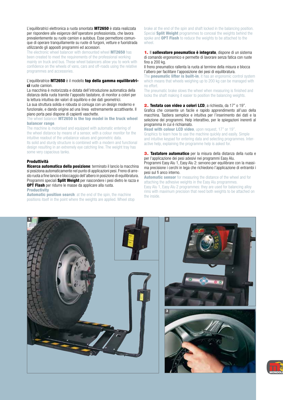L'equilibratrici elettronica a ruota smontata MT2650 è stata realizzata per rispondere alle esigenze dell'operatore professionista, che lavora prevalentemente su ruote camion e autobus. Esse permettono comunque di operare tranquillamente su ruote di furgoni, vetture e fuoristrada utilizzando gli appositi programmi ed accessori.

The electronic wheel balancer with demounted wheel MT2650 has been created to meet the requirements of the professional working mainly on truck and bus. These wheel balancers allow you to work with confidence on the wheels of vans, cars and off-roads using the relative programmes and accessories.

### L'equilibratrice MT2650 è il modello top della gamma equilibratrici ruote camion.

La macchina è motorizzata e dotata dell'introduzione automatica della distanza della ruota tramite I'apposito tastatore, di monitor a colori per la lettura intuitiva dei valori di squilibrio e dei dati geometrici.

La sua struttura solida e robusta si coniuga con un design moderno e funzionale, e dando origine ad una linea estremamente accattivante. Il piano porta pesi dispone di capienti vaschette.

The wheel balancer MT2650 is the top model in the truck wheel balancer range.

The machine is motorised and equipped with automatic entering of the wheel distance by means of a sensor, with a colour monitor for the intuitive readout of the unbalance values and geometric data. Its solid and sturdy structure is combined with a modern and functional design resulting in an extremely eye catching line. The weight tray has

### **Produttività**

some very capacious tanks.

Ricerca automatica della posizione: terminato il lancio la macchina si posiziona automaticamente nel punto di applicazioni pesi. Freno di arresto ruota a fine lancio e bloccaggio dell'albero in posizione di equilibratura. Programmi speciali **Split Weight** per nascondere i pesi dietro le razza e OPT Flash per ridurre le masse da applicare alla ruota.

#### **Productivity**

Automatic position search: at the end of the spin, the machine positions itself in the point where the weights are applied. Wheel stop brake at the end of the spin and shaft locked in the balancing position. Special **Split Weight** programmes to conceal the weights behind the spoke and **OPT Flash** to reduce the weights to be attached to the wheel

1. Il sollevatore pneumatico è integrato, dispone di un sistema di comando ergonomico e permette di lavorare senza fatica con ruote fino a 200 kg.

Il freno pneumatico rallenta la ruota al termine della misura e blocca l'albero per facilitare l'apposizione dei pesi di equilibratura.

The **pneumatic lifter is built-in**, it has an ergonomic control system which means that wheels weighing up to 200 kg can be managed with no effort.

The pneumatic brake slows the wheel when measuring is finished and locks the shaft making it easier to position the balancing weights.

2. Testata con video a colori LCD, a richiesta, da 17" o 19". Grafica che consente un facile e rapido apprendimento all'uso della

macchina. Tastiera semplice e intuitiva per l'inserimento dei dati e la selezione dei programmi. Help interattivo, per le spiegazioni inerenti al programma in cui è richiamato.

**Head with colour LCD video**, upon request, 17" or 19". Graphics to learn how to use the machine quickly and easily. Simple and intuitive keypad for entering data and selecting programmes. Interactive help, explaining the programme help is asked for.

**3. Tastatore automatico** per la misura della distanza della ruota e per l'applicazione dei pesi adesivi nei programmi Easy Alu. Programmi Easy Alu 1, Easy Alu 2: servono per equilibrare con la massima precisione i cerchi in lega che richiedono l'applicazione di entrambi i pesi sul fi anco interno.

**Automatic sensor** for measuring the distance of the wheel and for attaching the adhesive weights in the Easy Alu programmes. Easy Alu 1, Easy Alu 2 programmes: they are used for balancing alloy rims with maximum precision that need both weights to be attached on the inside.



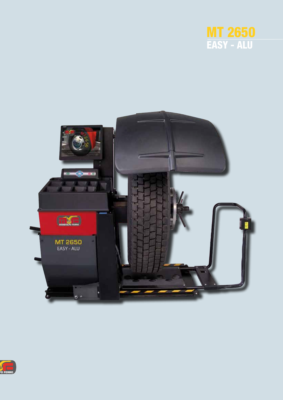